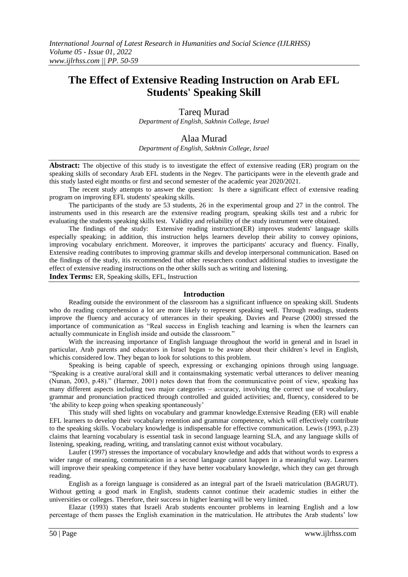# **The Effect of Extensive Reading Instruction on Arab EFL Students' Speaking Skill**

Tareq Murad

*Department of English, Sakhnin College, Israel*

# Alaa Murad

*Department of English, Sakhnin College, Israel*

**Abstract:** The objective of this study is to investigate the effect of extensive reading (ER) program on the speaking skills of secondary Arab EFL students in the Negev. The participants were in the eleventh grade and this study lasted eight months or first and second semester of the academic year 2020/2021.

The recent study attempts to answer the question: Is there a significant effect of extensive reading program on improving EFL students' speaking skills.

The participants of the study are 53 students, 26 in the experimental group and 27 in the control. The instruments used in this research are the extensive reading program, speaking skills test and a rubric for evaluating the students speaking skills test. Validity and reliability of the study instrument were obtained.

The findings of the study: Extensive reading instruction(ER) improves students' language skills especially speaking; in addition, this instruction helps learners develop their ability to convey opinions, improving vocabulary enrichment. Moreover, it improves the participants' accuracy and fluency. Finally, Extensive reading contributes to improving grammar skills and develop interpersonal communication. Based on the findings of the study, itis recommended that other researchers conduct additional studies to investigate the effect of extensive reading instructions on the other skills such as writing and listening.

**Index Terms:** ER, Speaking skills, EFL, Instruction

#### **Introduction**

Reading outside the environment of the classroom has a significant influence on speaking skill. Students who do reading comprehension a lot are more likely to represent speaking well. Through readings, students improve the fluency and accuracy of utterances in their speaking. Davies and Pearse (2000) stressed the importance of communication as "Real success in English teaching and learning is when the learners can actually communicate in English inside and outside the classroom."

With the increasing importance of English language throughout the world in general and in Israel in particular, Arab parents and educators in Israel began to be aware about their children"s level in English, whichis considered low. They began to look for solutions to this problem.

Speaking is being capable of speech, expressing or exchanging opinions through using language. "Speaking is a creative aural/oral skill and it containsmaking systematic verbal utterances to deliver meaning (Nunan, 2003, p.48)." (Harmer, 2001) notes down that from the communicative point of view, speaking has many different aspects including two major categories – accuracy, involving the correct use of vocabulary, grammar and pronunciation practiced through controlled and guided activities; and, fluency, considered to be "the ability to keep going when speaking spontaneously"

This study will shed lights on vocabulary and grammar knowledge.Extensive Reading (ER) will enable EFL learners to develop their vocabulary retention and grammar competence, which will effectively contribute to the speaking skills. Vocabulary knowledge is indispensable for effective communication. Lewis (1993, p.23) claims that learning vocabulary is essential task in second language learning SLA, and any language skills of listening, speaking, reading, writing, and translating cannot exist without vocabulary.

Laufer (1997) stresses the importance of vocabulary knowledge and adds that without words to express a wider range of meaning, communication in a second language cannot happen in a meaningful way. Learners will improve their speaking competence if they have better vocabulary knowledge, which they can get through reading.

English as a foreign language is considered as an integral part of the Israeli matriculation (BAGRUT). Without getting a good mark in English, students cannot continue their academic studies in either the universities or colleges. Therefore, their success in higher learning will be very limited.

Elazar (1993) states that Israeli Arab students encounter problems in learning English and a low percentage of them passes the English examination in the matriculation. He attributes the Arab students" low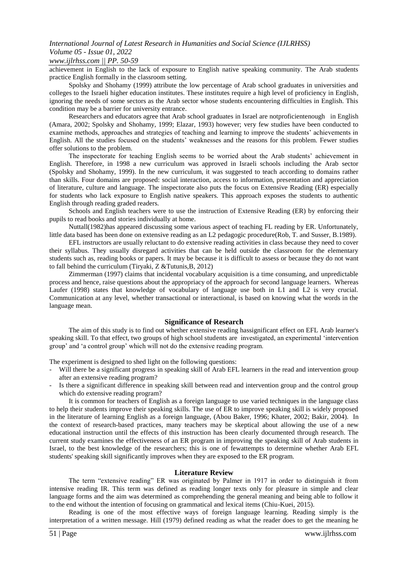### *www.ijlrhss.com || PP. 50-59*

achievement in English to the lack of exposure to English native speaking community. The Arab students practice English formally in the classroom setting.

Spolsky and Shohamy (1999) attribute the low percentage of Arab school graduates in universities and colleges to the Israeli higher education institutes. These institutes require a high level of proficiency in English, ignoring the needs of some sectors as the Arab sector whose students encountering difficulties in English. This condition may be a barrier for university entrance.

Researchers and educators agree that Arab school graduates in Israel are notproficientenough in English (Amara, 2002; Spolsky and Shohamy, 1999; Elazar, 1993) however; very few studies have been conducted to examine methods, approaches and strategies of teaching and learning to improve the students" achievements in English. All the studies focused on the students" weaknesses and the reasons for this problem. Fewer studies offer solutions to the problem.

The inspectorate for teaching English seems to be worried about the Arab students" achievement in English. Therefore, in 1998 a new curriculum was approved in Israeli schools including the Arab sector (Spolsky and Shohamy, 1999). In the new curriculum, it was suggested to teach according to domains rather than skills. Four domains are proposed: social interaction, access to information, presentation and appreciation of literature, culture and language. The inspectorate also puts the focus on Extensive Reading (ER) especially for students who lack exposure to English native speakers. This approach exposes the students to authentic English through reading graded readers.

Schools and English teachers were to use the instruction of Extensive Reading (ER) by enforcing their pupils to read books and stories individually at home.

Nuttall(1982)has appeared discussing some various aspect of teaching FL reading by ER. Unfortunately, little data based has been done on extensive reading as an L2 pedagogic procedure(Rob, T. and Susser, B.1989).

EFL instructors are usually reluctant to do extensive reading activities in class because they need to cover their syllabus. They usually disregard activities that can be held outside the classroom for the elementary students such as, reading books or papers. It may be because it is difficult to assess or because they do not want to fall behind the curriculum (Tiryaki, Z &Tutunis,B, 2012)

Zimmerman (1997) claims that incidental vocabulary acquisition is a time consuming, and unpredictable process and hence, raise questions about the appropriacy of the approach for second language learners. Whereas Laufer (1998) states that knowledge of vocabulary of language use both in L1 and L2 is very crucial. Communication at any level, whether transactional or interactional, is based on knowing what the words in the language mean.

#### **Significance of Research**

The aim of this study is to find out whether extensive reading hassignificant effect on EFL Arab learner's speaking skill. To that effect, two groups of high school students are investigated, an experimental "intervention group" and "a control group" which will not do the extensive reading program.

The experiment is designed to shed light on the following questions:

- Will there be a significant progress in speaking skill of Arab EFL learners in the read and intervention group after an extensive reading program?
- Is there a significant difference in speaking skill between read and intervention group and the control group which do extensive reading program?

It is common for teachers of English as a foreign language to use varied techniques in the language class to help their students improve their speaking skills. The use of ER to improve speaking skill is widely proposed in the literature of learning English as a foreign language, (Abou Baker, 1996; Khater, 2002; Bakir, 2004). In the context of research-based practices, many teachers may be skeptical about allowing the use of a new educational instruction until the effects of this instruction has been clearly documented through research. The current study examines the effectiveness of an ER program in improving the speaking skill of Arab students in Israel, to the best knowledge of the researchers; this is one of fewattempts to determine whether Arab EFL students' speaking skill significantly improves when they are exposed to the ER program.

#### **Literature Review**

The term "extensive reading" ER was originated by Palmer in 1917 in order to distinguish it from intensive reading IR. This term was defined as reading longer texts only for pleasure in simple and clear language forms and the aim was determined as comprehending the general meaning and being able to follow it to the end without the intention of focusing on grammatical and lexical items (Chiu-Kuei, 2015).

Reading is one of the most effective ways of foreign language learning. Reading simply is the interpretation of a written message. Hill (1979) defined reading as what the reader does to get the meaning he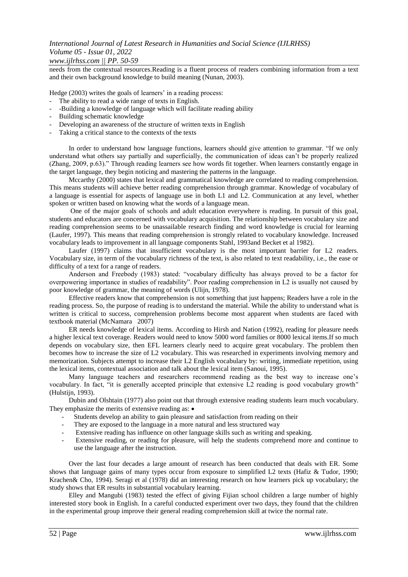# *www.ijlrhss.com || PP. 50-59*

needs from the contextual resources.Reading is a fluent process of readers combining information from a text and their own background knowledge to build meaning (Nunan, 2003).

Hedge (2003) writes the goals of learners' in a reading process:

- The ability to read a wide range of texts in English.
- -Building a knowledge of language which will facilitate reading ability
- Building schematic knowledge
- Developing an awareness of the structure of written texts in English
- Taking a critical stance to the contexts of the texts

In order to understand how language functions, learners should give attention to grammar. "If we only understand what others say partially and superficially, the communication of ideas can"t be properly realized (Zhang, 2009, p.63)." Through reading learners see how words fit together. When learners constantly engage in the target language, they begin noticing and mastering the patterns in the language.

Mccarthy (2000) states that lexical and grammatical knowledge are correlated to reading comprehension. This means students will achieve better reading comprehension through grammar. Knowledge of vocabulary of a language is essential for aspects of language use in both L1 and L2. Communication at any level, whether spoken or written based on knowing what the words of a language mean.

One of the major goals of schools and adult education everywhere is reading. In pursuit of this goal, students and educators are concerned with vocabulary acquisition. The relationship between vocabulary size and reading comprehension seems to be unassailable research finding and word knowledge is crucial for learning (Laufer, 1997). This means that reading comprehension is strongly related to vocabulary knowledge. Increased vocabulary leads to improvement in all language components Stahl, 1993and Becket et al 1982).

Laufer (1997) claims that insufficient vocabulary is the most important barrier for L2 readers. Vocabulary size, in term of the vocabulary richness of the text, is also related to text readability, i.e., the ease or difficulty of a text for a range of readers.

Anderson and Freebody (1983) stated: "vocabulary difficulty has always proved to be a factor for overpowering importance in studies of readability". Poor reading comprehension in L2 is usually not caused by poor knowledge of grammar, the meaning of words (Ulijn, 1978).

Effective readers know that comprehension is not something that just happens; Readers have a role in the reading process. So, the purpose of reading is to understand the material. While the ability to understand what is written is critical to success, comprehension problems become most apparent when students are faced with textbook material (McNamara 2007)

ER needs knowledge of lexical items. According to Hirsh and Nation (1992), reading for pleasure needs a higher lexical text coverage. Readers would need to know 5000 word families or 8000 lexical items.If so much depends on vocabulary size, then EFL learners clearly need to acquire great vocabulary. The problem then becomes how to increase the size of L2 vocabulary. This was researched in experiments involving memory and memorization. Subjects attempt to increase their L2 English vocabulary by: writing, immediate repetition, using the lexical items, contextual association and talk about the lexical item (Sanoui, 1995).

Many language teachers and researchers recommend reading as the best way to increase one"s vocabulary. In fact, "it is generally accepted principle that extensive L2 reading is good vocabulary growth" (Hulstiin, 1993).

Dubin and Olshtain (1977) also point out that through extensive reading students learn much vocabulary. They emphasize the merits of extensive reading as:  $\bullet$ 

- Students develop an ability to gain pleasure and satisfaction from reading on their
- They are exposed to the language in a more natural and less structured way
- Extensive reading has influence on other language skills such as writing and speaking.
- Extensive reading, or reading for pleasure, will help the students comprehend more and continue to use the language after the instruction.

Over the last four decades a large amount of research has been conducted that deals with ER. Some shows that language gains of many types occur from exposure to simplified L2 texts (Hafiz & Tudor, 1990; Krachen& Cho, 1994). Seragi et al (1978) did an interesting research on how learners pick up vocabulary; the study shows that ER results in substantial vocabulary learning.

Elley and Mangubi (1983) tested the effect of giving Fijian school children a large number of highly interested story book in English. In a careful conducted experiment over two days, they found that the children in the experimental group improve their general reading comprehension skill at twice the normal rate.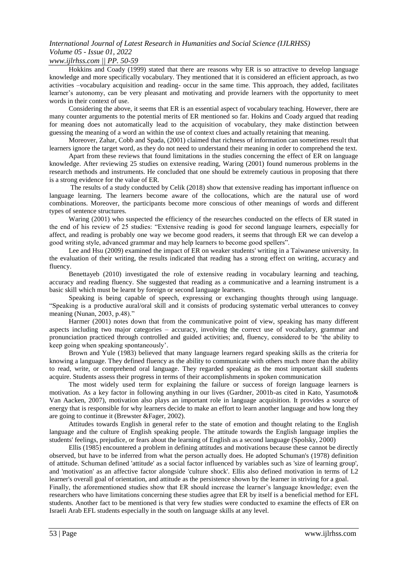# *www.ijlrhss.com || PP. 50-59*

Hokkins and Coady (1999) stated that there are reasons why ER is so attractive to develop language knowledge and more specifically vocabulary. They mentioned that it is considered an efficient approach, as two activities –vocabulary acquisition and reading- occur in the same time. This approach, they added, facilitates learner"s autonomy, can be very pleasant and motivating and provide learners with the opportunity to meet words in their context of use.

Considering the above, it seems that ER is an essential aspect of vocabulary teaching. However, there are many counter arguments to the potential merits of ER mentioned so far. Hokins and Coady argued that reading for meaning does not automatically lead to the acquisition of vocabulary, they make distinction between guessing the meaning of a word an within the use of context clues and actually retaining that meaning.

Moreover, Zahar, Cobb and Spada, (2001) claimed that richness of information can sometimes result that learners ignore the target word, as they do not need to understand their meaning in order to comprehend the text.

Apart from these reviews that found limitations in the studies concerning the effect of ER on language knowledge. After reviewing 25 studies on extensive reading, Waring (2001) found numerous problems in the research methods and instruments. He concluded that one should be extremely cautious in proposing that there is a strong evidence for the value of ER.

The results of a study conducted by Celik (2018) show that extensive reading has important influence on language learning. The learners become aware of the collocations, which are the natural use of word combinations. Moreover, the participants become more conscious of other meanings of words and different types of sentence structures.

Waring (2001) who suspected the efficiency of the researches conducted on the effects of ER stated in the end of his review of 25 studies: "Extensive reading is good for second language learners, especially for affect, and reading is probably one way we become good readers, it seems that through ER we can develop a good writing style, advanced grammar and may help learners to become good spellers".

Lee and Hsu (2009) examined the impact of ER on weaker students' writing in a Taiwanese university. In the evaluation of their writing, the results indicated that reading has a strong effect on writing, accuracy and fluency.

Benettayeb (2010) investigated the role of extensive reading in vocabulary learning and teaching, accuracy and reading fluency. She suggested that reading as a communicative and a learning instrument is a basic skill which must be learnt by foreign or second language learners.

Speaking is being capable of speech, expressing or exchanging thoughts through using language. "Speaking is a productive aural/oral skill and it consists of producing systematic verbal utterances to convey meaning (Nunan, 2003, p.48)."

Harmer (2001) notes down that from the communicative point of view, speaking has many different aspects including two major categories – accuracy, involving the correct use of vocabulary, grammar and pronunciation practiced through controlled and guided activities; and, fluency, considered to be "the ability to keep going when speaking spontaneously".

Brown and Yule (1983) believed that many language learners regard speaking skills as the criteria for knowing a language. They defined fluency as the ability to communicate with others much more than the ability to read, write, or comprehend oral language. They regarded speaking as the most important skill students acquire. Students assess their progress in terms of their accomplishments in spoken communication

The most widely used term for explaining the failure or success of foreign language learners is motivation. As a key factor in following anything in our lives (Gardner, 2001b-as cited in Kato, Yasumoto& Van Aacken, 2007), motivation also plays an important role in language acquisition. It provides a source of energy that is responsible for why learners decide to make an effort to learn another language and how long they are going to continue it (Brewster &Fager, 2002).

Attitudes towards English in general refer to the state of emotion and thought relating to the English language and the culture of English speaking people. The attitude towards the English language implies the students' feelings, prejudice, or fears about the learning of English as a second language (Spolsky, 2000)

Ellis (1985) encountered a problem in defining attitudes and motivations because these cannot be directly observed, but have to be inferred from what the person actually does. He adopted Schuman's (1978) definition of attitude. Schuman defined 'attitude' as a social factor influenced by variables such as 'size of learning group', and 'motivation' as an affective factor alongside 'culture shock'. Ellis also defined motivation in terms of L2 learner's overall goal of orientation, and attitude as the persistence shown by the learner in striving for a goal.

Finally, the aforementioned studies show that ER should increase the learner"s language knowledge; even the researchers who have limitations concerning these studies agree that ER by itself is a beneficial method for EFL students. Another fact to be mentioned is that very few studies were conducted to examine the effects of ER on Israeli Arab EFL students especially in the south on language skills at any level.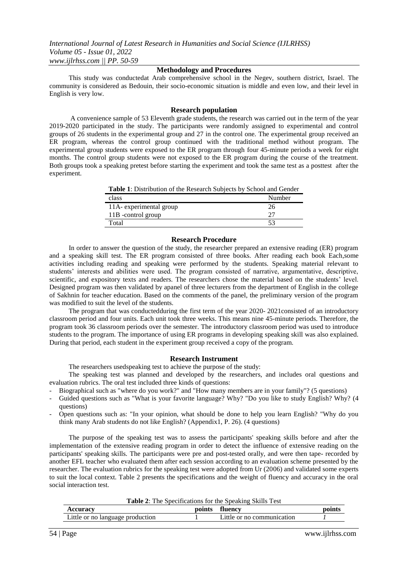### **Methodology and Procedures**

This study was conductedat Arab comprehensive school in the Negev, southern district, Israel. The community is considered as Bedouin, their socio-economic situation is middle and even low, and their level in English is very low.

#### **Research population**

A convenience sample of 53 Eleventh grade students, the research was carried out in the term of the year 2019-2020 participated in the study. The participants were randomly assigned to experimental and control groups of 26 students in the experimental group and 27 in the control one. The experimental group received an ER program, whereas the control group continued with the traditional method without program. The experimental group students were exposed to the ER program through four 45-minute periods a week for eight months. The control group students were not exposed to the ER program during the course of the treatment. Both groups took a speaking pretest before starting the experiment and took the same test as a posttest after the experiment.

**Table 1**: Distribution of the Research Subjects by School and Gender

| class                   | Number |
|-------------------------|--------|
| 11A- experimental group |        |
| 11B -control group      |        |
| Fotal                   |        |

#### **Research Procedure**

In order to answer the question of the study, the researcher prepared an extensive reading (ER) program and a speaking skill test. The ER program consisted of three books. After reading each book Each,some activities including reading and speaking were performed by the students. Speaking material relevant to students" interests and abilities were used. The program consisted of narrative, argumentative, descriptive, scientific, and expository texts and readers. The researchers chose the material based on the students" level. Designed program was then validated by apanel of three lecturers from the department of English in the college of Sakhnin for teacher education. Based on the comments of the panel, the preliminary version of the program was modified to suit the level of the students.

The program that was conductedduring the first term of the year 2020- 2021consisted of an introductory classroom period and four units. Each unit took three weeks. This means nine 45-minute periods. Therefore, the program took 36 classroom periods over the semester. The introductory classroom period was used to introduce students to the program. The importance of using ER programs in developing speaking skill was also explained. During that period, each student in the experiment group received a copy of the program.

#### **Research Instrument**

The researchers usedspeaking test to achieve the purpose of the study:

The speaking test was planned and developed by the researchers, and includes oral questions and evaluation rubrics. The oral test included three kinds of questions:

- Biographical such as "where do you work?" and "How many members are in your family"? (5 questions)
- Guided questions such as "What is your favorite language? Why? "Do you like to study English? Why? (4 questions)
- Open questions such as: "In your opinion, what should be done to help you learn English? "Why do you think many Arab students do not like English? (Appendix1, P. 26). (4 questions)

The purpose of the speaking test was to assess the participants' speaking skills before and after the implementation of the extensive reading program in order to detect the influence of extensive reading on the participants' speaking skills. The participants were pre and post-tested orally, and were then tape- recorded by another EFL teacher who evaluated them after each session according to an evaluation scheme presented by the researcher. The evaluation rubrics for the speaking test were adopted from Ur (2006) and validated some experts to suit the local context. Table 2 presents the specifications and the weight of fluency and accuracy in the oral social interaction test.

| Au                                                | points | ıencv                      | point. |
|---------------------------------------------------|--------|----------------------------|--------|
| $\mathbf{L}$ ittle or no '<br>language production |        | Little or no communication |        |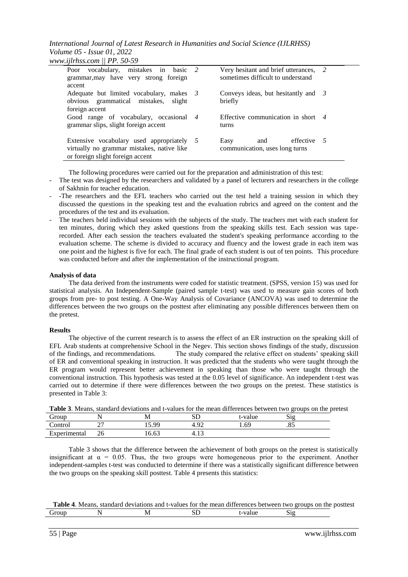*International Journal of Latest Research in Humanities and Social Science (IJLRHSS) Volume 05 - Issue 01, 2022*

|  | www.ijlrhss.com $  $ PP. 50-59 |  |  |  |
|--|--------------------------------|--|--|--|
|--|--------------------------------|--|--|--|

| Poor vocabulary, mistakes in basic 2<br>grammar, may have very strong foreign                                               | Very hesitant and brief utterances, 2<br>sometimes difficult to understand |  |
|-----------------------------------------------------------------------------------------------------------------------------|----------------------------------------------------------------------------|--|
| accent<br>Adequate but limited vocabulary, makes $\beta$<br>obvious grammatical mistakes,<br>slight<br>foreign accent       | Conveys ideas, but hesitantly and $\beta$<br>briefly                       |  |
| Good range of vocabulary, occasional 4<br>grammar slips, slight foreign accent                                              | Effective communication in short $\frac{4}{3}$<br>turns                    |  |
| Extensive vocabulary used appropriately 5<br>virtually no grammar mistakes, native like<br>or foreign slight foreign accent | effective $5$<br>Easy<br>and<br>communication, uses long turns             |  |

The following procedures were carried out for the preparation and administration of this test:

- The test was designed by the researchers and validated by a panel of lecturers and researchers in the college of Sakhnin for teacher education.
- -The researchers and the EFL teachers who carried out the test held a training session in which they discussed the questions in the speaking test and the evaluation rubrics and agreed on the content and the procedures of the test and its evaluation.
- The teachers held individual sessions with the subjects of the study. The teachers met with each student for ten minutes, during which they asked questions from the speaking skills test. Each session was taperecorded. After each session the teachers evaluated the student's speaking performance according to the evaluation scheme. The scheme is divided to accuracy and fluency and the lowest grade in each item was one point and the highest is five for each. The final grade of each student is out of ten points. This procedure was conducted before and after the implementation of the instructional program.

### **Analysis of data**

The data derived from the instruments were coded for statistic treatment. (SPSS, version 15) was used for statistical analysis. An Independent-Sample (paired sample t-test) was used to measure gain scores of both groups from pre- to post testing. A One-Way Analysis of Covariance (ANCOVA) was used to determine the differences between the two groups on the posttest after eliminating any possible differences between them on the pretest.

### **Results**

The objective of the current research is to assess the effect of an ER instruction on the speaking skill of EFL Arab students at comprehensive School in the Negev. This section shows findings of the study, discussion of the findings, and recommendations. The study compared the relative effect on students" speaking skill of ER and conventional speaking in instruction. It was predicted that the students who were taught through the ER program would represent better achievement in speaking than those who were taught through the conventional instruction. This hypothesis was tested at the 0.05 level of significance. An independent t-test was carried out to determine if there were differences between the two groups on the pretest. These statistics is presented in Table 3:

|              | <b>Table 5.</b> Means, standard deviations and t-values for the mean differences between two groups on the prete |         |  |
|--------------|------------------------------------------------------------------------------------------------------------------|---------|--|
| Group        |                                                                                                                  | t-value |  |
| Control      | 15. QQ                                                                                                           | . .60   |  |
| Experimental | -6.63                                                                                                            |         |  |

| Table 3. Means, standard deviations and t-values for the mean differences between two groups on the pretest |
|-------------------------------------------------------------------------------------------------------------|
|-------------------------------------------------------------------------------------------------------------|

Table 3 shows that the difference between the achievement of both groups on the pretest is statistically insignificant at  $\alpha = 0.05$ . Thus, the two groups were homogeneous prior to the experiment. Another independent-samples t-test was conducted to determine if there was a statistically significant difference between the two groups on the speaking skill posttest. Table 4 presents this statistics:

|       |  | <b>Table 4.</b> Means, standard deviations and t-values for the mean differences between two groups on the posttest |         |  |
|-------|--|---------------------------------------------------------------------------------------------------------------------|---------|--|
| Group |  |                                                                                                                     | t-value |  |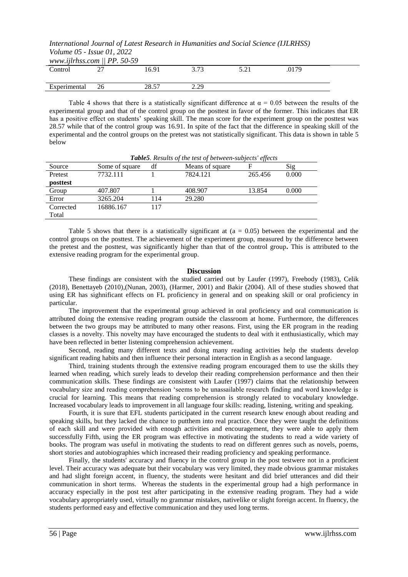| www.ijlrhss.com $\parallel$ PP. 50-59 |       |              |      |  |
|---------------------------------------|-------|--------------|------|--|
| Control                               | 16.91 |              | 0179 |  |
|                                       |       |              |      |  |
| Experimental                          | 28.57 | າ າດ<br>,,,, |      |  |
|                                       |       |              |      |  |

Table 4 shows that there is a statistically significant difference at  $\alpha = 0.05$  between the results of the experimental group and that of the control group on the posttest in favor of the former. This indicates that ER has a positive effect on students' speaking skill. The mean score for the experiment group on the posttest was 28.57 while that of the control group was 16.91. In spite of the fact that the difference in speaking skill of the experimental and the control groups on the pretest was not statistically significant. This data is shown in table 5 below

| <b>Table</b> 3. Results of the test of between-subjects effects |                |     |                 |         |       |  |
|-----------------------------------------------------------------|----------------|-----|-----------------|---------|-------|--|
| Source                                                          | Some of square | df  | Means of square | F       | Sig   |  |
| Pretest                                                         | 7732.111       |     | 7824.121        | 265.456 | 0.000 |  |
| posttest                                                        |                |     |                 |         |       |  |
| Group                                                           | 407.807        |     | 408.907         | 13.854  | 0.000 |  |
| Error                                                           | 3265.204       | 114 | 29.280          |         |       |  |
| Corrected                                                       | 16886.167      | 117 |                 |         |       |  |
| Total                                                           |                |     |                 |         |       |  |

*Table5. Results of the test of between-subjects' effects*

Table 5 shows that there is a statistically significant at  $(a = 0.05)$  between the experimental and the control groups on the posttest. The achievement of the experiment group, measured by the difference between the pretest and the posttest, was significantly higher than that of the control group**.** This is attributed to the extensive reading program for the experimental group.

### **Discussion**

These findings are consistent with the studied carried out by Laufer (1997), Freebody (1983), Celik (2018), Benettayeb (2010),(Nunan, 2003), (Harmer, 2001) and Bakir (2004). All of these studies showed that using ER has sighnificant effects on FL proficiency in general and on speaking skill or oral proficiency in particular.

The improvement that the experimental group achieved in oral proficiency and oral communication is attributed doing the extensive reading program outside the classroom at home. Furthermore, the differences between the two groups may be attributed to many other reasons. First, using the ER program in the reading classes is a novelty. This novelty may have encouraged the students to deal with it enthusiastically, which may have been reflected in better listening comprehension achievement.

Second, reading many different texts and doing many reading activities help the students develop significant reading habits and then influence their personal interaction in English as a second language.

Third, training students through the extensive reading program encouraged them to use the skills they learned when reading, which surely leads to develop their reading comprehension performance and then their communication skills. These findings are consistent with Laufer (1997) claims that the relationship between vocabulary size and reading comprehension "seems to be unassailable research finding and word knowledge is crucial for learning. This means that reading comprehension is strongly related to vocabulary knowledge. Increased vocabulary leads to improvement in all language four skills: reading, listening, writing and speaking.

Fourth, it is sure that EFL students participated in the current research knew enough about reading and speaking skills, but they lacked the chance to putthem into real practice. Once they were taught the definitions of each skill and were provided with enough activities and encouragement, they were able to apply them successfully Fifth, using the ER program was effective in motivating the students to read a wide variety of books. The program was useful in motivating the students to read on different genres such as novels, poems, short stories and autobiographies which increased their reading proficiency and speaking performance*.*

Finally, the students' accuracy and fluency in the control group in the post testwere not in a proficient level. Their accuracy was adequate but their vocabulary was very limited, they made obvious grammar mistakes and had slight foreign accent, in fluency, the students were hesitant and did brief utterances and did their communication in short terms. Whereas the students in the experimental group had a high performance in accuracy especially in the post test after participating in the extensive reading program. They had a wide vocabulary appropriately used, virtually no grammar mistakes, nativelike or slight foreign accent. In fluency, the students performed easy and effective communication and they used long terms.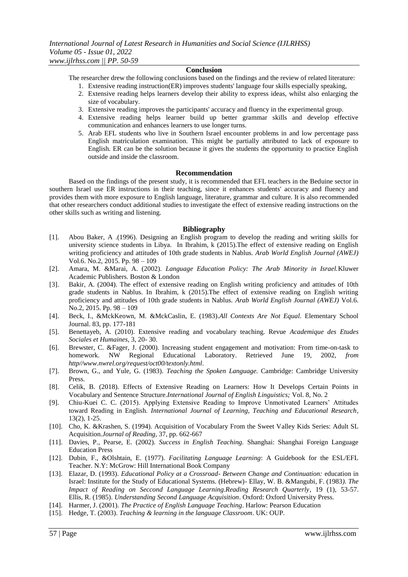#### **Conclusion**

The researcher drew the following conclusions based on the findings and the review of related literature:

- 1. Extensive reading instruction(ER) improves students' language four skills especially speaking,
- 2. Extensive reading helps learners develop their ability to express ideas, whilst also enlarging the size of vocabulary.
- 3. Extensive reading improves the participants' accuracy and fluency in the experimental group.
- 4. Extensive reading helps learner build up better grammar skills and develop effective communication and enhances learners to use longer turns.
- 5. Arab EFL students who live in Southern Israel encounter problems in and low percentage pass English matriculation examination. This might be partially attributed to lack of exposure to English. ER can be the solution because it gives the students the opportunity to practice English outside and inside the classroom.

#### **Recommendation**

Based on the findings of the present study, it is recommended that EFL teachers in the Beduine sector in southern Israel use ER instructions in their teaching, since it enhances students' accuracy and fluency and provides them with more exposure to English language, literature, grammar and culture. It is also recommended that other researchers conduct additional studies to investigate the effect of extensive reading instructions on the other skills such as writing and listening.

#### **Bibliography**

- [1]. Abou Baker, A .(1996). Designing an English program to develop the reading and writing skills for university science students in Libya. In Ibrahim, k (2015).The effect of extensive reading on English writing proficiency and attitudes of 10th grade students in Nablus. *Arab World English Journal (AWEJ)* Vol.6. No.2, 2015. Pp. 98 – 109
- [2]. Amara, M. &Marai, A. (2002). *Language Education Policy: The Arab Minority in Israel.*Kluwer Academic Publishers. Boston & London
- [3]. Bakir, A. (2004). The effect of extensive reading on English writing proficiency and attitudes of 10th grade students in Nablus. In Ibrahim, k (2015).The effect of extensive reading on English writing proficiency and attitudes of 10th grade students in Nablus. *Arab World English Journal (AWEJ)* Vol.6. No.2, 2015. Pp. 98 – 109
- [4]. Beck, I., &MckKeown, M. &MckCaslin, E. (1983).*All Contexts Are Not Equal.* Elementary School Journal. 83, pp. 177-181
- [5]. Benettayeb, A. (2010). Extensive reading and vocabulary teaching. Revue *Academique des Etudes Sociales et Humaines*, 3, 20- 30.
- [6]. Brewster, C. &Fager, J. (2000). Increasing student engagement and motivation: From time-on-task to homework. NW Regional Educational Laboratory. Retrieved June 19, 2002, *from http//www.nwrel.org/request/oct00/textonly.html*.
- [7]. Brown, G., and Yule, G. (1983). *Teaching the Spoken Language.* Cambridge: Cambridge University Press.
- [8]. Celik, B. (2018). Effects of Extensive Reading on Learners: How It Develops Certain Points in Vocabulary and Sentence Structure.*International Journal of English Linguistics;* Vol. 8, No. 2
- [9]. Chiu-Kuei C. C. (2015). Applying Extensive Reading to Improve Unmotivated Learners" Attitudes toward Reading in English. *International Journal of Learning, Teaching and Educational Research*, 13(2), 1-25.
- [10]. Cho, K. &Krashen, S. (1994). Acquisition of Vocabulary From the Sweet Valley Kids Series: Adult SL Acquisition.*Journal of Reading*, 37, pp. 662-667
- [11]. Davies, P., Pearse, E. (2002). *Success in English Teaching.* Shanghai: Shanghai Foreign Language Education Press
- [12]. Dubin, F., &Olshtain, E. (1977). *Facilitating Language Learning*: A Guidebook for the ESL/EFL Teacher. N.Y: McGrow: Hill International Book Company
- [13]. Elazar, D. (1993). *Educational Policy at a Crossroad- Between Change and Continuation:* education in Israel: Institute for the Study of Educational Systems. (Hebrew)- Ellay, W. B. &Mangubi, F. (1983*). The Impact of Reading on Seccond Language Learning.Reading Research Quarterly*, 19 (1), 53-57. Ellis, R. (1985). *Understanding Second Language Acquisition*. Oxford: Oxford University Press.
- [14]. Harmer, J. (2001). *The Practice of English Language Teaching*. Harlow: Pearson Education
- [15]. Hedge, T. (2003). *Teaching & learning in the language Classroom*. UK: OUP.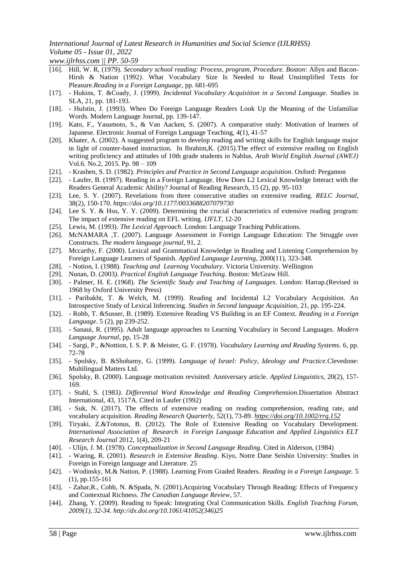*www.ijlrhss.com || PP. 50-59*

- [16]. Hill, W. R, (1979). *Secondary school reading: Process, program, Procedure. Boston*: Allyn and Bacon-Hirsh & Nation (1992*)*. What Vocabulary Size Is Needed to Read Unsimplified Texts for Pleasure*.Reading in a Foreign Language*, pp. 681-695
- [17]. Hukins, T. &Coady, J. (1999). *Incidental Vocabulary Acquisition in a Second Language.* Studies in SLA, 21, pp. 181-193.
- [18]. Hulstin, J. (1993). When Do Foreign Language Readers Look Up the Meaning of the Unfamiliar Words. Modern Language Journal, pp. 139-147.
- [19]. Kato, F., Yasumoto, S., & Van Aacken, S. (2007). A comparative study: Motivation of learners of Japanese. Electronic Journal of Foreign Language Teaching, 4(1), 41-57
- [20]. Khater, A. (2002). A suggested program to develop reading and writing skills for English language major in light of counter-based instruction. In Ibrahim,K. (2015).The effect of extensive reading on English writing proficiency and attitudes of 10th grade students in Nablus. *Arab World English Journal (AWEJ)* Vol.6. No.2, 2015. Pp. 98 – 109
- [21]. Krashen, S. D. (1982). *Principles and Practice in Second Language acquisition*. Oxford: Pergamon
- [22]. Laufer, B. (1997). Reading in a Foreign Language. How Does L2 Lexical Knowledge Interact with the Readers General Academic Ability? Journal of Reading Research, 15 (2), pp. 95-103
- [23]. Lee, S. Y. (2007). Revelations from three consecutive studies on extensive reading*. RELC Journal*, 38(2), 150-170. *<https://doi.org/10.1177/0033688207079730>*
- [24]. Lee S. Y. & Hsu, Y. Y. (2009). Determining the crucial characteristics of extensive reading program: The impact of extensive reading on EFL writing*. IJFLT,* 12-20
- [25]. Lewis, M. (1993). *The Lexical Approach*. London: Language Teaching Publications.
- [26]. McNAMARA ,T. (2007). Language Assessment in Foreign Language Education: The Struggle over Constructs. *The modern language journal*, 91, 2.
- [27]. Mccarthy, F. (2000). Lexical and Grammatical Knowledge in Reading and Listening Comprehension by Foreign Language Learners of Spanish. *Applied Language Learning,* 2000(11), 323-348.
- [28]. Notion, I. (1988). *Teaching and Learning Vocabulary*. Victoria University. Wellington
- [29]. Nunan, D. (2003*). Practical English Language Teaching*. Boston: McGraw Hill.
- [30]. Palmer, H. E. (1968). *The Scientific Study and Teaching of Languages*. London: Harrap.(Revised in 1968 by Oxford University Press)
- [31]. Paribakht, T. & Welch, M. (1999). Reading and Incidental L2 Vocabulary Acquisition. An Introspective Study of Lexical Inferencing. *Studies in Second language Acquisition*, 21, pp. 195-224.
- [32]. Robb, T. &Susser, B. (1989). Extensive Reading VS Building in an EF Context. *Reading in a Foreign Language*. 5 (2), pp 239-252.
- [33]. Sanaui, R. (1995). Adult language approaches to Learning Vocabulary in Second Languages*. Modern Language Journal*, pp, 15-28
- [34]. Sargi, P., &Nottion, I. S. P. & Meister, G. F. (1978). *Vocabulary Learning and Reading Systems*. 6, pp. 72-78
- [35]. Spolsky, B. &Shohamy, G. (1999). *Language of Israel: Policy, Ideology and Practice.*Clevedone: Multilingual Matters Ltd.
- [36]. Spolsky, B. (2000). Language motivation revisited: Anniversary article. *Applied Linguistics,* 20(2), 157- 169.
- [37]. Stahl, S. (1983*). Differential Word Knowledge and Reading Comprehension.*Dissertation Abstract International, 43, 1517A. Cited in Laufer (1992)
- [38]. Suk, N. (2017). The effects of extensive reading on reading comprehension, reading rate, and vocabulary acquisition. *Reading Research Quarterly*, 52(1), 73-89. *<https://doi.org/10.1002/rrq.152>*
- [39]. Tiryaki, Z.&Totonus, B. (2012). The Role of Extensive Reading on Vocabulary Development. *International Association of Research in Foreign Language Education and Applied Linguistics ELT Research Journal* 2012, 1(4), 209-21
- [40]. Ulijn, J. M. (1978). *Conceptualization in Second Language Reading*. Cited in Alderson, (1984)
- [41]. Waring, R. (2001). *Research in Extensive Reading*. Kiyo, Notre Dane Seishin University: Studies in Foreign in Foreign language and Literature. 25
- [42]. Wodinsky, M.& Nation, P. (1988). Learning From Graded Readers*. Reading in a Foreign Language.* 5 (1), pp.155-161
- [43]. Zahar,R., Cobb, N. &Spada, N. (2001).Acquiring Vocabulary Through Reading: Effects of Frequency and Contextual Richness*. The Canadian Language Review*, 57.
- [44]. Zhang, Y. (2009). Reading to Speak: Integrating Oral Communication Skills. *English Teaching Forum, 2009(1), 32-34. [http://dx.doi.org/10.1061/41052\(346\)25](http://dx.doi.org/10.1061/41052(346)25)*